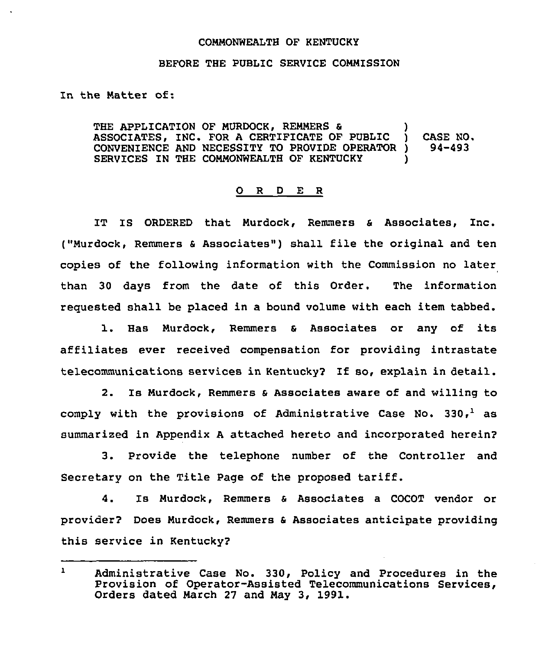## COMMONWEALTH OF KENTUCKY

## BEFORE THE PUBLIC SERVICE COMMISSION

In the Matter of:

THE APPLICATION OF MURDOCK, REMMERS & )<br>ASSOCIATES, INC. FOR A CERTIFICATE OF PUBLIC ) ASSOCIATES, INC. FOR A CERTIFICATE OF PUBLIC ) CASE NO. CONVENIENCE AND NECESSITY TO PROVIDE OPERATOR ) SERVICES IN THE COMMONWEALTH OF KENTUCKY

## 0 R <sup>D</sup> E R

IT IS ORDERED that Murdock, Remmers <sup>6</sup> Associates, Inc. ("Murdock, Remmers <sup>a</sup> Associates" ) shall file the original and ten copies of the following information with the Commission no later than 30 days from the date of this Order. The information requested shall be placed in a bound volume with each item tabbed.

1. Has Murdock, Remmers & Associates or any of its affiliates ever received compensation for providing intrastate telecommunications services in Kentucky? If so, explain in detail.

2. Is Murdock, Remmers & Associates aware of and willing to comply with the provisions of Administrative Case No.  $330<sub>r</sub><sup>1</sup>$  as summarized in Appendix <sup>A</sup> attached hereto and incorporated herein2

3. Provide the telephone number of the Controller and Secretary on the Title Page of the proposed tariff.

4. Is Murdock, Remmers & Associates a COCOT vendor or provider? Does Murdock, Remmers a Associates anticipate providing this service in Kentucky2

 $\mathbf{1}$ Administrative Case No. 330, Policy and Procedures in the Provision of Operator-Assisted Telecommunications Services, Orders dated March 27 and May 3, 1991.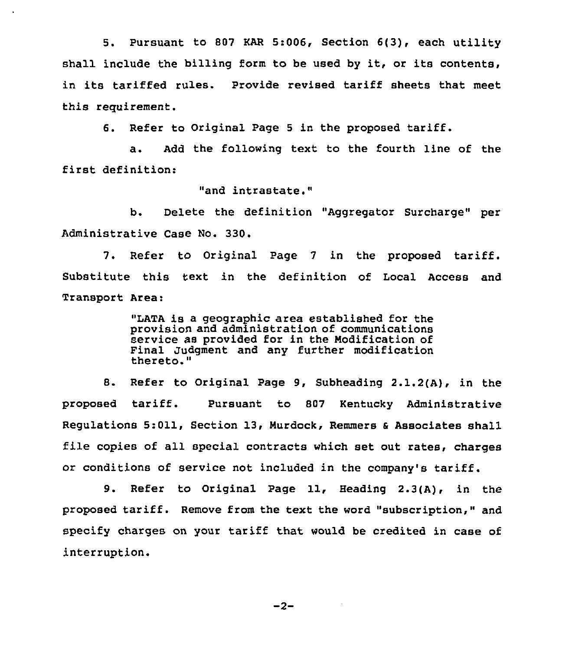5. Pursuant to 807 KAR 5:006, Section 6(3), each utility shall include the billing form to be used by it, or its contents, in its tariffed rules. Provide revised tariff sheets that meet this requirement.

6. Refer to Original Page <sup>5</sup> in the proposed tariff.

a. Add the following text to the fourth line of the first definition:

"and intrastate."

b. Delete the definition "Aggregator Surcharge" per Administrative Case No. 330.

7. Refer to Original Page <sup>7</sup> in the proposed tariff. Substitute this text in the definition of Local Access and Transport Area:

> "LATA is a geographic area established for the provision and administration of communications service as provided for in the Modification of Final Judgment and any further modification thereto."

8. Refer to Original Page 9, Subheading 2.1.2(A), in the proposed tariff. Pursuant to <sup>807</sup> Kentucky Administrative Regulations 5:011, Section 13, Murdock, Remmers & Associates shall file copies of all special contracts which set out rates, charges or conditions of service not included in the company's tariff.

9. Refer to Original Page 11, Heading 2.3(A), in the proposed tariff. Remove from the text the word "subscription," and specify charges on your tariff that would be credited in case of interruption.

 $-2-$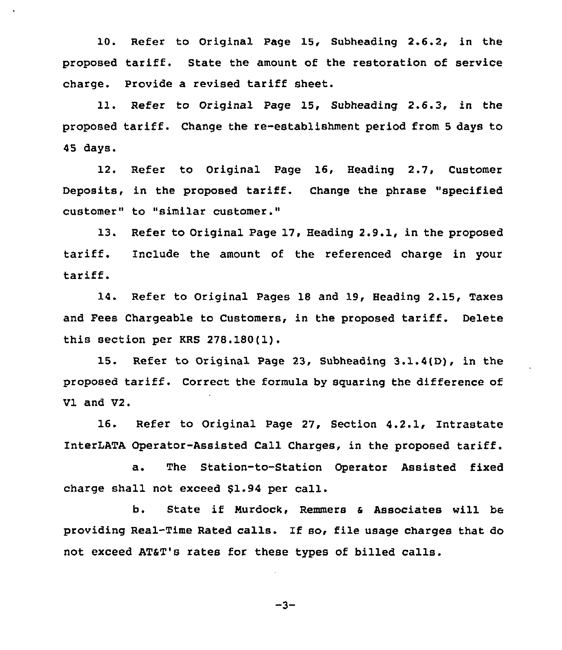10. Refer to Original Page 15, Subheading 2.6.2, in the proposed tariff. State the amount of the restoration of service charge. Provide a revised tariff sheet.

ll. Refer to Original Page 15, Subheading 2.6.3, in the proposed tariff. Change the re-establishment period from <sup>5</sup> days to 45 days.

12. Refer to Original Page 16, Heading 2.7, Customer Deposits, in the proposed tariff. Change the phrase "specified customer" to "similar customer."

13. Refer to Original Page 17, Heading 2.9.1, in the proposed tariff. Include the amount of the referenced charge in your tariff.

14. Refer to Original Pages 18 and 19, Heading 2.15, Taxes and Fees Chargeable to Customers, in the proposed tariff. Delete this section per KRS 278.180(1).

15. Refer to Original Page 23, Subheading 3.1.4(D), in the proposed tariff. Correct the formula by squaring the difference of Vl and V2.

16. Refer to Original Page 27, Section 4.2.1, Intrastate InterLATA Operator-Assisted Call Charges, in the proposed tariff.

a. The Station-to-Station Operator Assisted fixed charge shall not exceed \$1.94 per call.

b. State if Murdock, Remmers & Associates will be providing Real-Time Rated calls. If so, file usage charges that do not exceed AT&T's rates for these types of billed calls.

$$
-3-
$$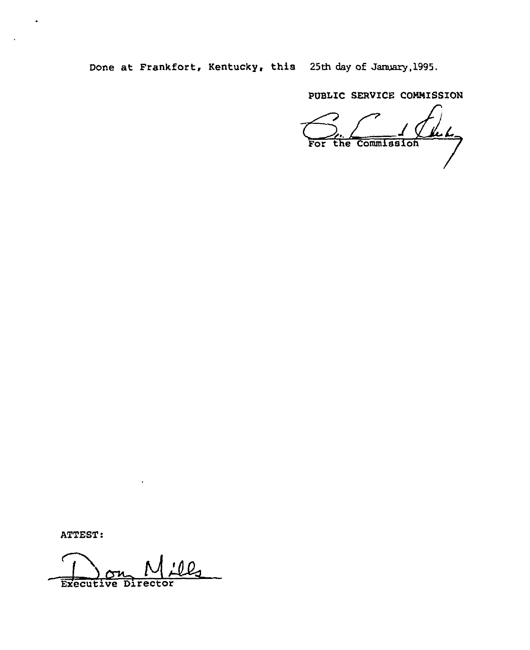Done at Frankfort, Kentucky, this 25th day of January,1995.

PUBLIC SERVICE COMMISSION

<u>kel</u> For the Commission

ATTEST:

Executive Direc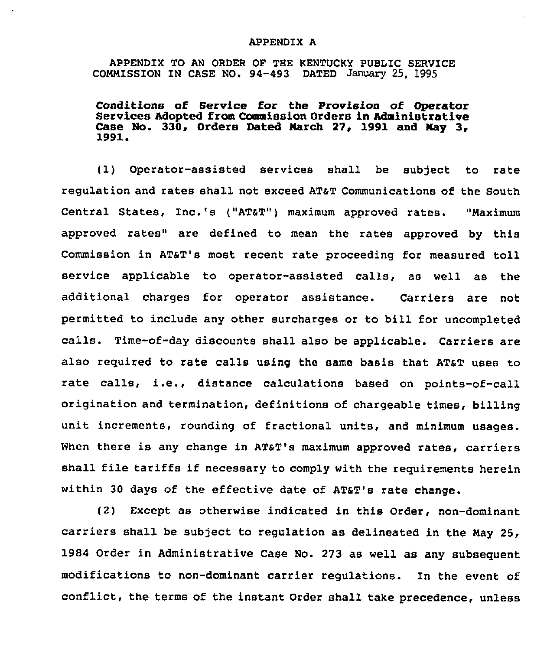## APPENDIX A

APPENDIX TO AN ORDER OP THE KENTUCKY PUBLIC SERVICE COMMISSION IN CASE NO. 94-493 DATED January 25, 1993

Conditions of Service for the Provision of Operator Services Adopted from Commission Orders in Administrative Case No. 330, Orders Dated March 27, 1991 and May 3, 1991

(1) Operator-assisted services shall be subject to rate regulation and rates shall not exceed AT&T Communications of the South Central States, Inc.'s ("AT&T") maximum approved rates. "Maximum approved rates" are defined to mean the rates approved by this Commission in ATST's most recent rate proceeding for measured toll service applicable to operator-assisted calls, as well as the additional charges for operator assistance. Carriers are not permitted to include any other surcharges or to bill for uncompleted calls. Time-of-day discounts shall also be applicable. Carriers are also required to rate calls using the same basis that AT&T uses to rate calls, i.e., distance calculations based on points-of-call origination and termination, definitions of chargeable times, billing unit increments, rounding of fractional units, and minimum usages. When there is any change in AT&T's maximum approved rates, carriers shall file tariffs if necessary to comply with the requirements herein within 30 days of the effective date of ATaT's rate change.

(2) Except as otherwise indicated in this Order, non-dominant carriers shall be subject to regulation as delineated in the May 25, 1984 Order in Administrative Case No. 273 as well as any subsequent modifications to non-dominant carrier regulations. In the event of conflict, the terms of the instant Order shall take precedence, unless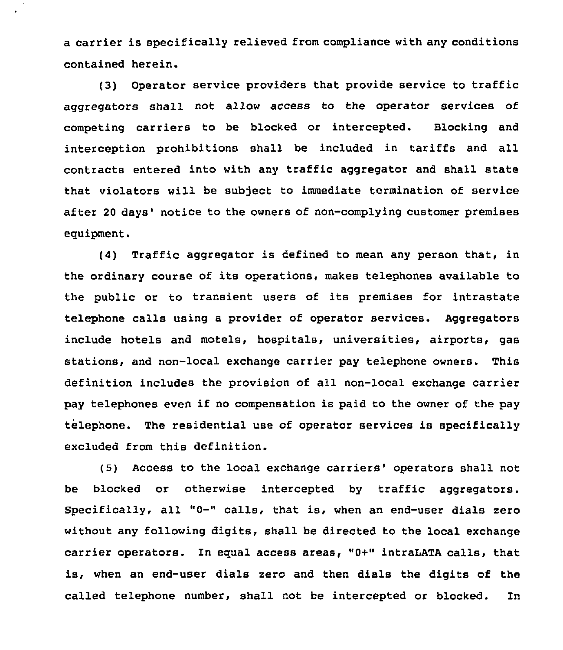a carrier is specifically relieved from compliance with any conditions contained herein.

(3) Operator service providers that provide service to traffic aggregators shall not allow access to the operator services of competing carriers to be blocked or intercepted. Blocking and interception prohibitions shall be included in tariffs and all contracts entered into with any traffic aggregator and shall state that violators will be subject to immediate termination of service after 20 days' notice to the owners of non-complying customer premises equipment.

(4) Traffic aggregator is defined to mean any person that, in the ordinary course of its operations, makes telephones available to the public or to transient users of its premises for intrastate telephone calls using a provider of operator services. Aggregators include hotels and motels, hospitals, universities, airports, gas stations, and non-local exchange carrier pay telephone owners. This definition includes the provision of all non-local exchange carrier pay telephones even if no compensation is paid to the owner of the pay telephone. The residential use of operator services is specifically excluded from this definition.

(5) Access to the local exchange carriers' operators shall not be blocked or otherwise intercepted by traffic aggregators. Specifically, all "0-" calls, that is, when an end-user dials zero without any following digits, shall be directed to the local exchange carrier operators. In equal access areas, "0+" intraLATA calls, that is, when an end-user dials zero and then dials the digits of the called telephone number, shall not be intercepted or blocked. In